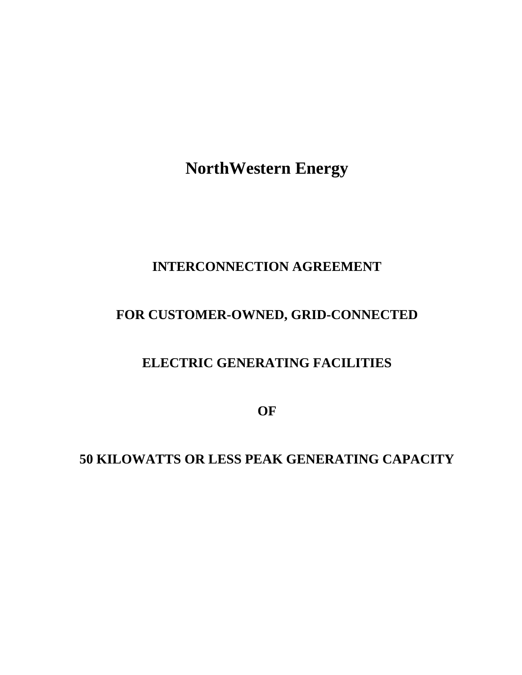**NorthWestern Energy**

## **INTERCONNECTION AGREEMENT**

# **FOR CUSTOMER-OWNED, GRID-CONNECTED**

## **ELECTRIC GENERATING FACILITIES**

**OF**

**50 KILOWATTS OR LESS PEAK GENERATING CAPACITY**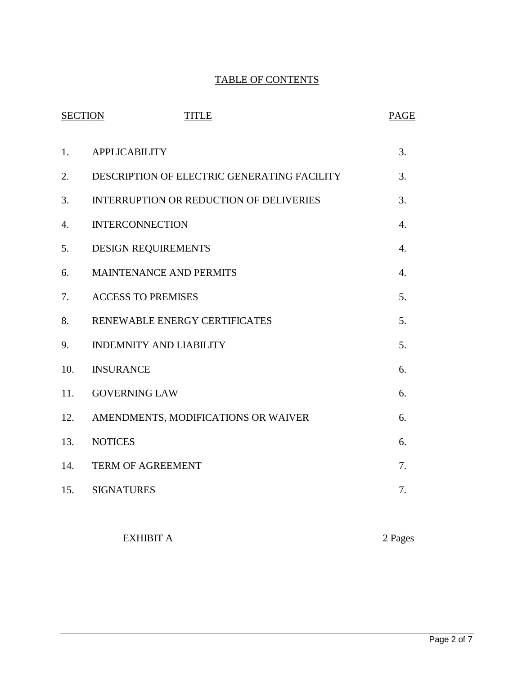## TABLE OF CONTENTS

| <b>SECTION</b><br><b>TITLE</b> |                                                | <b>PAGE</b>      |
|--------------------------------|------------------------------------------------|------------------|
| 1.                             | <b>APPLICABILITY</b>                           | 3.               |
| 2.                             | DESCRIPTION OF ELECTRIC GENERATING FACILITY    | 3.               |
| 3.                             | <b>INTERRUPTION OR REDUCTION OF DELIVERIES</b> | 3.               |
| $\overline{4}$ .               | <b>INTERCONNECTION</b>                         | $\overline{4}$ . |
| 5.                             | <b>DESIGN REQUIREMENTS</b>                     | $\overline{4}$ . |
| 6.                             | <b>MAINTENANCE AND PERMITS</b>                 | 4.               |
| 7.                             | <b>ACCESS TO PREMISES</b>                      | 5.               |
| 8.                             | RENEWABLE ENERGY CERTIFICATES                  | 5.               |
| 9.                             | <b>INDEMNITY AND LIABILITY</b>                 | 5.               |
| 10.                            | <b>INSURANCE</b>                               | 6.               |
| 11.                            | <b>GOVERNING LAW</b>                           | 6.               |
| 12.                            | AMENDMENTS, MODIFICATIONS OR WAIVER            | 6.               |
| 13.                            | <b>NOTICES</b>                                 | 6.               |
| 14.                            | <b>TERM OF AGREEMENT</b>                       | 7.               |
| 15.                            | <b>SIGNATURES</b>                              | 7.               |
|                                |                                                |                  |

EXHIBIT A 2 Pages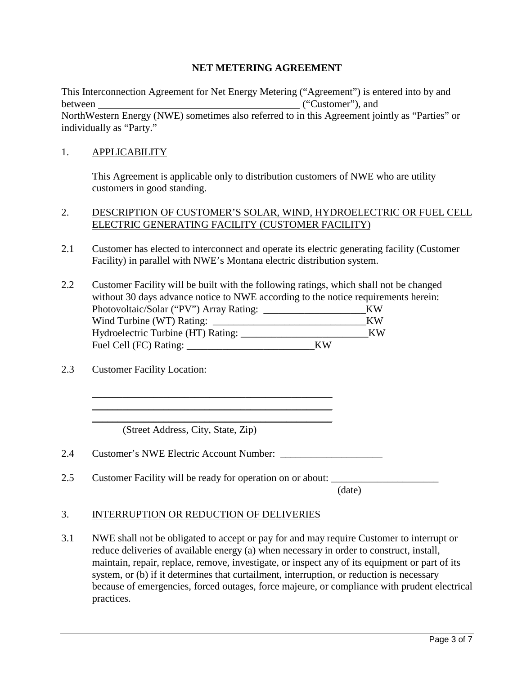#### **NET METERING AGREEMENT**

This Interconnection Agreement for Net Energy Metering ("Agreement") is entered into by and between ("Customer"), and NorthWestern Energy (NWE) sometimes also referred to in this Agreement jointly as "Parties" or individually as "Party."

#### 1. APPLICABILITY

This Agreement is applicable only to distribution customers of NWE who are utility customers in good standing.

#### 2. DESCRIPTION OF CUSTOMER'S SOLAR, WIND, HYDROELECTRIC OR FUEL CELL ELECTRIC GENERATING FACILITY (CUSTOMER FACILITY)

- 2.1 Customer has elected to interconnect and operate its electric generating facility (Customer Facility) in parallel with NWE's Montana electric distribution system.
- 2.2 Customer Facility will be built with the following ratings, which shall not be changed without 30 days advance notice to NWE according to the notice requirements herein: Photovoltaic/Solar ("PV") Array Rating: \_\_\_\_\_\_\_\_\_\_\_\_\_\_\_\_\_\_\_\_\_\_\_\_\_\_KW Wind Turbine (WT) Rating: \_\_\_\_\_\_\_\_\_\_\_\_\_\_\_\_\_\_\_\_\_\_\_\_\_\_\_\_\_\_KW Hydroelectric Turbine (HT) Rating: \_\_\_\_\_\_\_\_\_\_\_\_\_\_\_\_\_\_\_\_\_\_\_\_\_KW Fuel Cell (FC) Rating: KW
- 2.3 Customer Facility Location:

(Street Address, City, State, Zip)

2.4 Customer's NWE Electric Account Number:

2.5 Customer Facility will be ready for operation on or about:

\_\_\_\_\_\_\_\_\_\_\_\_\_\_\_\_\_\_\_\_\_\_\_\_\_\_\_\_\_\_\_\_\_\_\_\_\_\_\_\_\_\_\_\_\_\_\_ \_\_\_\_\_\_\_\_\_\_\_\_\_\_\_\_\_\_\_\_\_\_\_\_\_\_\_\_\_\_\_\_\_\_\_\_\_\_\_\_\_\_\_\_\_\_\_  $\overline{\phantom{a}}$  , and the contract of the contract of the contract of the contract of the contract of the contract of the contract of the contract of the contract of the contract of the contract of the contract of the contrac

(date)

#### 3. INTERRUPTION OR REDUCTION OF DELIVERIES

3.1 NWE shall not be obligated to accept or pay for and may require Customer to interrupt or reduce deliveries of available energy (a) when necessary in order to construct, install, maintain, repair, replace, remove, investigate, or inspect any of its equipment or part of its system, or (b) if it determines that curtailment, interruption, or reduction is necessary because of emergencies, forced outages, force majeure, or compliance with prudent electrical practices.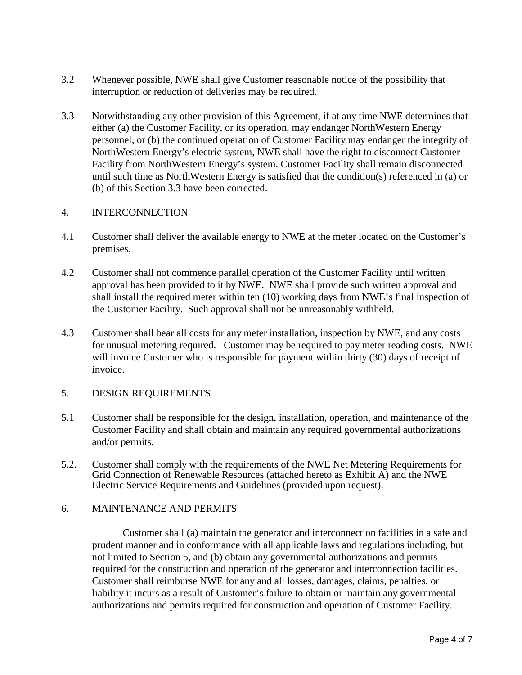- 3.2 Whenever possible, NWE shall give Customer reasonable notice of the possibility that interruption or reduction of deliveries may be required.
- 3.3 Notwithstanding any other provision of this Agreement, if at any time NWE determines that either (a) the Customer Facility, or its operation, may endanger NorthWestern Energy personnel, or (b) the continued operation of Customer Facility may endanger the integrity of NorthWestern Energy's electric system, NWE shall have the right to disconnect Customer Facility from NorthWestern Energy's system. Customer Facility shall remain disconnected until such time as NorthWestern Energy is satisfied that the condition(s) referenced in (a) or (b) of this Section 3.3 have been corrected.

#### 4. INTERCONNECTION

- 4.1 Customer shall deliver the available energy to NWE at the meter located on the Customer's premises.
- 4.2 Customer shall not commence parallel operation of the Customer Facility until written approval has been provided to it by NWE. NWE shall provide such written approval and shall install the required meter within ten (10) working days from NWE's final inspection of the Customer Facility. Such approval shall not be unreasonably withheld.
- 4.3 Customer shall bear all costs for any meter installation, inspection by NWE, and any costs for unusual metering required. Customer may be required to pay meter reading costs. NWE will invoice Customer who is responsible for payment within thirty (30) days of receipt of invoice.

### 5. DESIGN REQUIREMENTS

- 5.1 Customer shall be responsible for the design, installation, operation, and maintenance of the Customer Facility and shall obtain and maintain any required governmental authorizations and/or permits.
- 5.2. Customer shall comply with the requirements of the NWE Net Metering Requirements for Grid Connection of Renewable Resources (attached hereto as Exhibit A) and the NWE Electric Service Requirements and Guidelines (provided upon request).

#### 6. MAINTENANCE AND PERMITS

Customer shall (a) maintain the generator and interconnection facilities in a safe and prudent manner and in conformance with all applicable laws and regulations including, but not limited to Section 5, and (b) obtain any governmental authorizations and permits required for the construction and operation of the generator and interconnection facilities. Customer shall reimburse NWE for any and all losses, damages, claims, penalties, or liability it incurs as a result of Customer's failure to obtain or maintain any governmental authorizations and permits required for construction and operation of Customer Facility.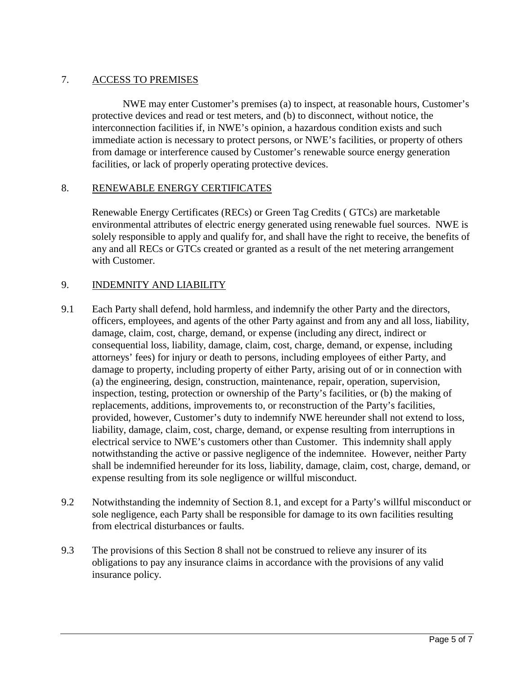### 7. ACCESS TO PREMISES

NWE may enter Customer's premises (a) to inspect, at reasonable hours, Customer's protective devices and read or test meters, and (b) to disconnect, without notice, the interconnection facilities if, in NWE's opinion, a hazardous condition exists and such immediate action is necessary to protect persons, or NWE's facilities, or property of others from damage or interference caused by Customer's renewable source energy generation facilities, or lack of properly operating protective devices.

#### 8. RENEWABLE ENERGY CERTIFICATES

Renewable Energy Certificates (RECs) or Green Tag Credits ( GTCs) are marketable environmental attributes of electric energy generated using renewable fuel sources. NWE is solely responsible to apply and qualify for, and shall have the right to receive, the benefits of any and all RECs or GTCs created or granted as a result of the net metering arrangement with Customer.

#### 9. INDEMNITY AND LIABILITY

- 9.1 Each Party shall defend, hold harmless, and indemnify the other Party and the directors, officers, employees, and agents of the other Party against and from any and all loss, liability, damage, claim, cost, charge, demand, or expense (including any direct, indirect or consequential loss, liability, damage, claim, cost, charge, demand, or expense, including attorneys' fees) for injury or death to persons, including employees of either Party, and damage to property, including property of either Party, arising out of or in connection with (a) the engineering, design, construction, maintenance, repair, operation, supervision, inspection, testing, protection or ownership of the Party's facilities, or (b) the making of replacements, additions, improvements to, or reconstruction of the Party's facilities, provided, however, Customer's duty to indemnify NWE hereunder shall not extend to loss, liability, damage, claim, cost, charge, demand, or expense resulting from interruptions in electrical service to NWE's customers other than Customer. This indemnity shall apply notwithstanding the active or passive negligence of the indemnitee. However, neither Party shall be indemnified hereunder for its loss, liability, damage, claim, cost, charge, demand, or expense resulting from its sole negligence or willful misconduct.
- 9.2 Notwithstanding the indemnity of Section 8.1, and except for a Party's willful misconduct or sole negligence, each Party shall be responsible for damage to its own facilities resulting from electrical disturbances or faults.
- 9.3 The provisions of this Section 8 shall not be construed to relieve any insurer of its obligations to pay any insurance claims in accordance with the provisions of any valid insurance policy.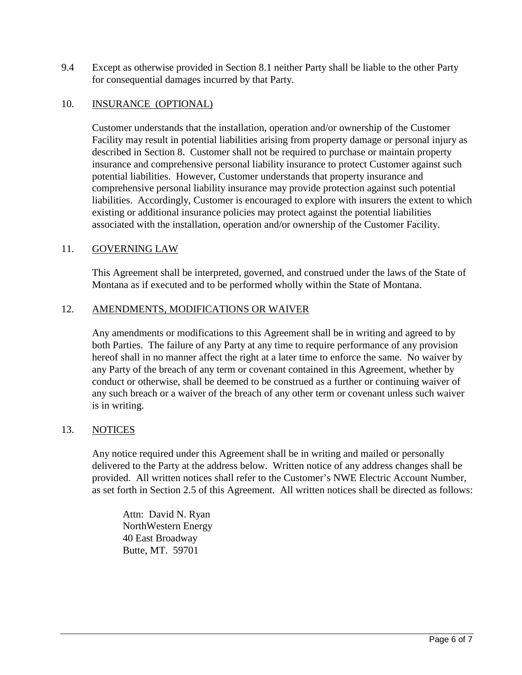9.4 Except as otherwise provided in Section 8.1 neither Party shall be liable to the other Party for consequential damages incurred by that Party.

#### 10. INSURANCE (OPTIONAL)

Customer understands that the installation, operation and/or ownership of the Customer Facility may result in potential liabilities arising from property damage or personal injury as described in Section 8. Customer shall not be required to purchase or maintain property insurance and comprehensive personal liability insurance to protect Customer against such potential liabilities. However, Customer understands that property insurance and comprehensive personal liability insurance may provide protection against such potential liabilities. Accordingly, Customer is encouraged to explore with insurers the extent to which existing or additional insurance policies may protect against the potential liabilities associated with the installation, operation and/or ownership of the Customer Facility.

#### 11. GOVERNING LAW

This Agreement shall be interpreted, governed, and construed under the laws of the State of Montana as if executed and to be performed wholly within the State of Montana.

#### 12. AMENDMENTS, MODIFICATIONS OR WAIVER

Any amendments or modifications to this Agreement shall be in writing and agreed to by both Parties. The failure of any Party at any time to require performance of any provision hereof shall in no manner affect the right at a later time to enforce the same. No waiver by any Party of the breach of any term or covenant contained in this Agreement, whether by conduct or otherwise, shall be deemed to be construed as a further or continuing waiver of any such breach or a waiver of the breach of any other term or covenant unless such waiver is in writing.

#### 13. NOTICES

Any notice required under this Agreement shall be in writing and mailed or personally delivered to the Party at the address below. Written notice of any address changes shall be provided. All written notices shall refer to the Customer's NWE Electric Account Number, as set forth in Section 2.5 of this Agreement. All written notices shall be directed as follows:

Attn: David N. Ryan NorthWestern Energy 40 East Broadway Butte, MT. 59701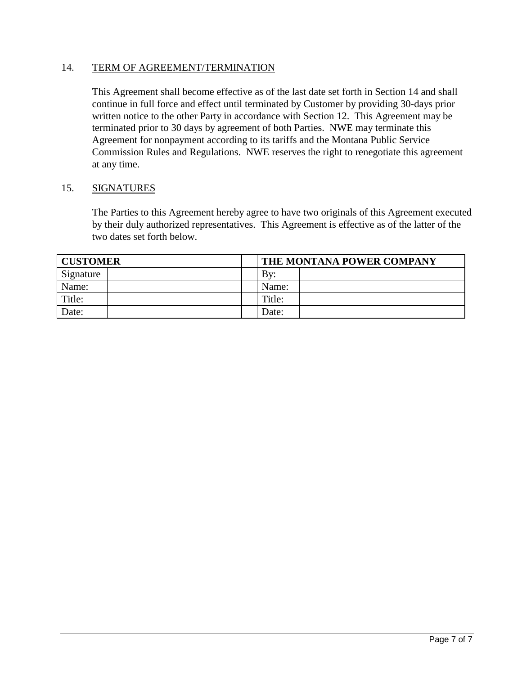#### 14. TERM OF AGREEMENT/TERMINATION

This Agreement shall become effective as of the last date set forth in Section 14 and shall continue in full force and effect until terminated by Customer by providing 30-days prior written notice to the other Party in accordance with Section 12. This Agreement may be terminated prior to 30 days by agreement of both Parties. NWE may terminate this Agreement for nonpayment according to its tariffs and the Montana Public Service Commission Rules and Regulations. NWE reserves the right to renegotiate this agreement at any time.

#### 15. SIGNATURES

The Parties to this Agreement hereby agree to have two originals of this Agreement executed by their duly authorized representatives. This Agreement is effective as of the latter of the two dates set forth below.

| <b>CUSTOMER</b> |  | THE MONTANA POWER COMPANY |  |
|-----------------|--|---------------------------|--|
| Signature       |  | By:                       |  |
| Name:           |  | Name:                     |  |
| Title:          |  | Title:                    |  |
| Date:           |  | Date:                     |  |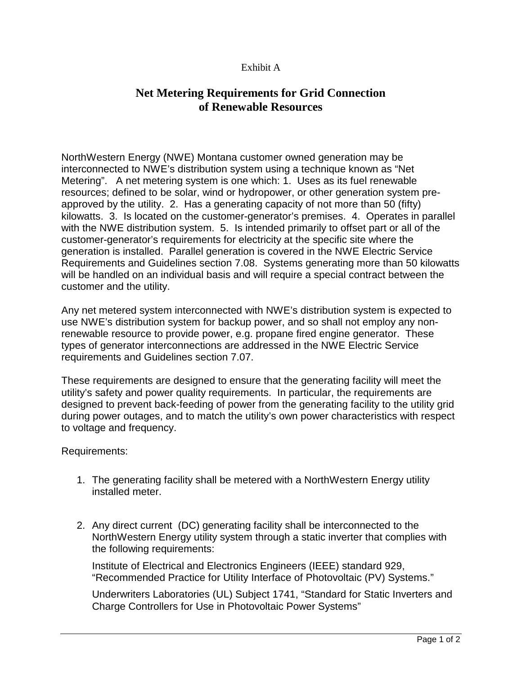#### Exhibit A

## **Net Metering Requirements for Grid Connection of Renewable Resources**

NorthWestern Energy (NWE) Montana customer owned generation may be interconnected to NWE's distribution system using a technique known as "Net Metering". A net metering system is one which: 1. Uses as its fuel renewable resources; defined to be solar, wind or hydropower, or other generation system preapproved by the utility. 2. Has a generating capacity of not more than 50 (fifty) kilowatts. 3. Is located on the customer-generator's premises. 4. Operates in parallel with the NWE distribution system. 5. Is intended primarily to offset part or all of the customer-generator's requirements for electricity at the specific site where the generation is installed. Parallel generation is covered in the NWE Electric Service Requirements and Guidelines section 7.08. Systems generating more than 50 kilowatts will be handled on an individual basis and will require a special contract between the customer and the utility.

Any net metered system interconnected with NWE's distribution system is expected to use NWE's distribution system for backup power, and so shall not employ any nonrenewable resource to provide power, e.g. propane fired engine generator. These types of generator interconnections are addressed in the NWE Electric Service requirements and Guidelines section 7.07.

These requirements are designed to ensure that the generating facility will meet the utility's safety and power quality requirements. In particular, the requirements are designed to prevent back-feeding of power from the generating facility to the utility grid during power outages, and to match the utility's own power characteristics with respect to voltage and frequency.

Requirements:

- 1. The generating facility shall be metered with a NorthWestern Energy utility installed meter.
- 2. Any direct current (DC) generating facility shall be interconnected to the NorthWestern Energy utility system through a static inverter that complies with the following requirements:

Institute of Electrical and Electronics Engineers (IEEE) standard 929, "Recommended Practice for Utility Interface of Photovoltaic (PV) Systems."

Underwriters Laboratories (UL) Subject 1741, "Standard for Static Inverters and Charge Controllers for Use in Photovoltaic Power Systems"